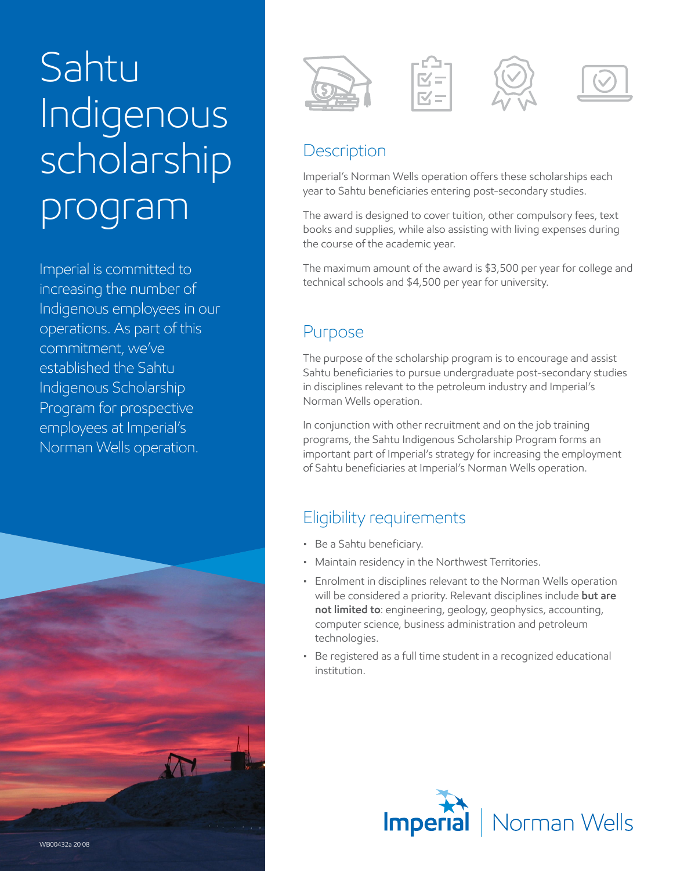# Sahtu Indigenous scholarship program

Imperial is committed to increasing the number of Indigenous employees in our operations. As part of this commitment, we've established the Sahtu Indigenous Scholarship Program for prospective employees at Imperial's Norman Wells operation.





## **Description**

Imperial's Norman Wells operation offers these scholarships each year to Sahtu beneficiaries entering post-secondary studies.

The award is designed to cover tuition, other compulsory fees, text books and supplies, while also assisting with living expenses during the course of the academic year.

The maximum amount of the award is \$3,500 per year for college and technical schools and \$4,500 per year for university.

## Purpose

The purpose of the scholarship program is to encourage and assist Sahtu beneficiaries to pursue undergraduate post-secondary studies in disciplines relevant to the petroleum industry and Imperial's Norman Wells operation.

In conjunction with other recruitment and on the job training programs, the Sahtu Indigenous Scholarship Program forms an important part of Imperial's strategy for increasing the employment of Sahtu beneficiaries at Imperial's Norman Wells operation.

## Eligibility requirements

- Be a Sahtu beneficiary.
- Maintain residency in the Northwest Territories.
- Enrolment in disciplines relevant to the Norman Wells operation will be considered a priority. Relevant disciplines include **but are not limited to**: engineering, geology, geophysics, accounting, computer science, business administration and petroleum technologies.
- Be registered as a full time student in a recognized educational institution.